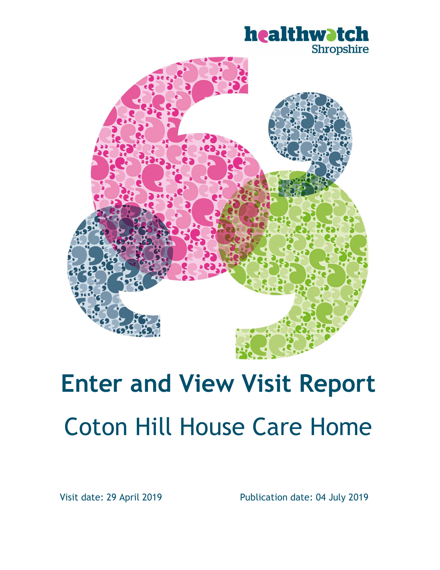



# Enter and View Visit Report Coton Hill House Care Home

Visit date: 29 April 2019 Publication date: 04 July 2019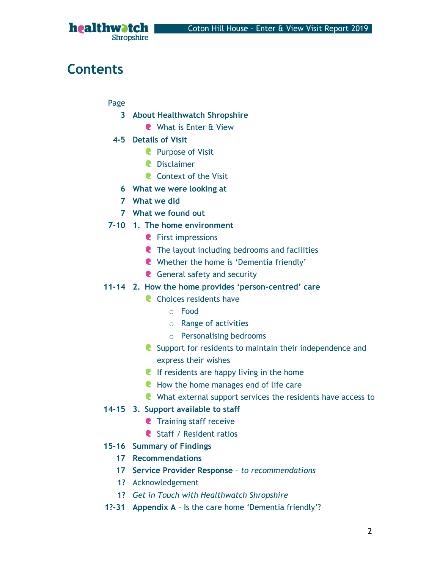

# **Contents**

Page

- 3 About Healthwatch Shropshire
	- What is Enter & View
- 4-5 Details of Visit
	- **Purpose of Visit**
	- Disclaimer
	- **C** Context of the Visit
	- 6 What we were looking at
	- 7 What we did
	- 7 What we found out
- 7-10 1. The home environment
	- **C** First impressions
	- **C** The layout including bedrooms and facilities
	- Whether the home is 'Dementia friendly'
	- **C** General safety and security
- 11-14 2. How the home provides 'person-centred' care
	- **C** Choices residents have
		- o Food
		- o Range of activities
		- o Personalising bedrooms
	- **C** Support for residents to maintain their independence and express their wishes
	- If residents are happy living in the home
	- How the home manages end of life care
	- What external support services the residents have access to

#### 14-15 3. Support available to staff

- **C** Training staff receive
- **C** Staff / Resident ratios
- 15-16 Summary of Findings
	- 17 Recommendations
	- 17 Service Provider Response to recommendations
	- 1? Acknowledgement
	- 1? Get in Touch with Healthwatch Shropshire
- 1?-31 Appendix A Is the care home 'Dementia friendly'?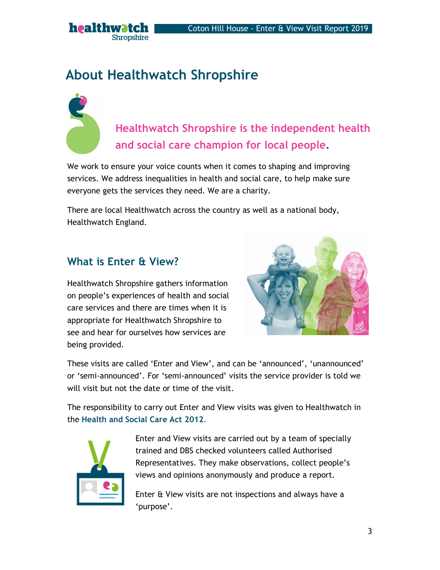

Healthwatch Shropshire is the independent health and social care champion for local people.

We work to ensure your voice counts when it comes to shaping and improving services. We address inequalities in health and social care, to help make sure everyone gets the services they need. We are a charity.

There are local Healthwatch across the country as well as a national body, Healthwatch England.

### What is Enter & View?

healthwatch

**Shropshire** 

Healthwatch Shropshire gathers information on people's experiences of health and social care services and there are times when it is appropriate for Healthwatch Shropshire to see and hear for ourselves how services are being provided.



These visits are called 'Enter and View', and can be 'announced', 'unannounced' or 'semi-announced'. For 'semi-announced' visits the service provider is told we will visit but not the date or time of the visit.

The responsibility to carry out Enter and View visits was given to Healthwatch in the Health and Social Care Act 2012.<br>Enter and View visits are carried out by a team of specially



trained and DBS checked volunteers called Authorised Representatives. They make observations, collect people's views and opinions anonymously and produce a report.

Enter & View visits are not inspections and always have a 'purpose'.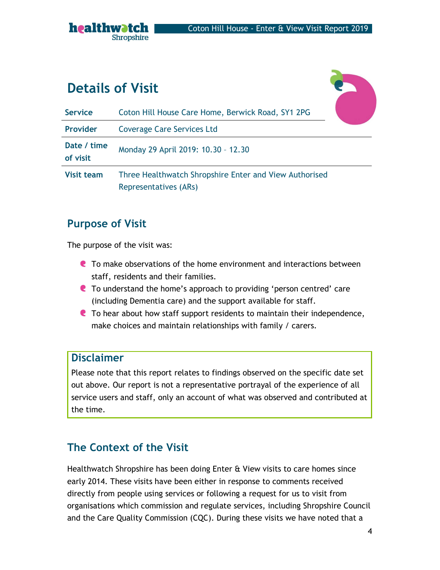

# Details of Visit



| <b>Service</b>          | Coton Hill House Care Home, Berwick Road, SY1 2PG                               |  |
|-------------------------|---------------------------------------------------------------------------------|--|
| Provider                | <b>Coverage Care Services Ltd</b>                                               |  |
| Date / time<br>of visit | Monday 29 April 2019: 10.30 - 12.30                                             |  |
| <b>Visit team</b>       | Three Healthwatch Shropshire Enter and View Authorised<br>Representatives (ARs) |  |

### Purpose of Visit

The purpose of the visit was:

- To make observations of the home environment and interactions between staff, residents and their families.
- **C** To understand the home's approach to providing 'person centred' care (including Dementia care) and the support available for staff.
- To hear about how staff support residents to maintain their independence, make choices and maintain relationships with family / carers.

### Disclaimer

Please note that this report relates to findings observed on the specific date set out above. Our report is not a representative portrayal of the experience of all service users and staff, only an account of what was observed and contributed at the time.

### The Context of the Visit

Healthwatch Shropshire has been doing Enter & View visits to care homes since early 2014. These visits have been either in response to comments received directly from people using services or following a request for us to visit from organisations which commission and regulate services, including Shropshire Council and the Care Quality Commission (CQC). During these visits we have noted that a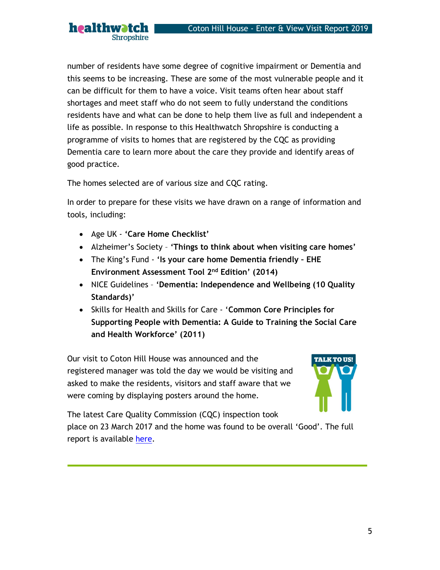number of residents have some degree of cognitive impairment or Dementia and this seems to be increasing. These are some of the most vulnerable people and it can be difficult for them to have a voice. Visit teams often hear about staff shortages and meet staff who do not seem to fully understand the conditions residents have and what can be done to help them live as full and independent a life as possible. In response to this Healthwatch Shropshire is conducting a programme of visits to homes that are registered by the CQC as providing Dementia care to learn more about the care they provide and identify areas of good practice.

The homes selected are of various size and CQC rating.

In order to prepare for these visits we have drawn on a range of information and tools, including:

• Age UK - 'Care Home Checklist'

healthwatch

**Shropshire** 

- Alzheimer's Society 'Things to think about when visiting care homes'
- The King's Fund 'Is your care home Dementia friendly EHE Environment Assessment Tool 2nd Edition' (2014)
- NICE Guidelines 'Dementia: Independence and Wellbeing (10 Quality Standards)'
- Skills for Health and Skills for Care 'Common Core Principles for Supporting People with Dementia: A Guide to Training the Social Care and Health Workforce' (2011)

Our visit to Coton Hill House was announced and the registered manager was told the day we would be visiting and asked to make the residents, visitors and staff aware that we were coming by displaying posters around the home.



The latest Care Quality Commission (CQC) inspection took

place on 23 March 2017 and the home was found to be overall 'Good'. The full report is available here.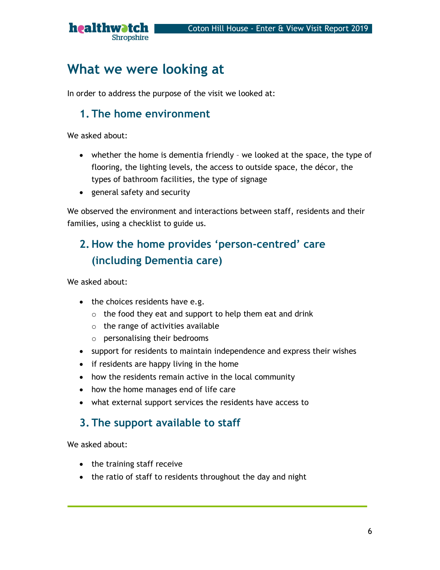

# What we were looking at

In order to address the purpose of the visit we looked at:

### 1. The home environment

We asked about:

- whether the home is dementia friendly we looked at the space, the type of flooring, the lighting levels, the access to outside space, the décor, the types of bathroom facilities, the type of signage
- general safety and security

We observed the environment and interactions between staff, residents and their families, using a checklist to guide us.

# 2. How the home provides 'person-centred' care (including Dementia care)

We asked about:

- the choices residents have e.g.
	- $\circ$  the food they eat and support to help them eat and drink
	- $\circ$  the range of activities available
	- o personalising their bedrooms
- support for residents to maintain independence and express their wishes
- if residents are happy living in the home
- how the residents remain active in the local community
- how the home manages end of life care
- what external support services the residents have access to

### 3. The support available to staff

We asked about:

- the training staff receive
- the ratio of staff to residents throughout the day and night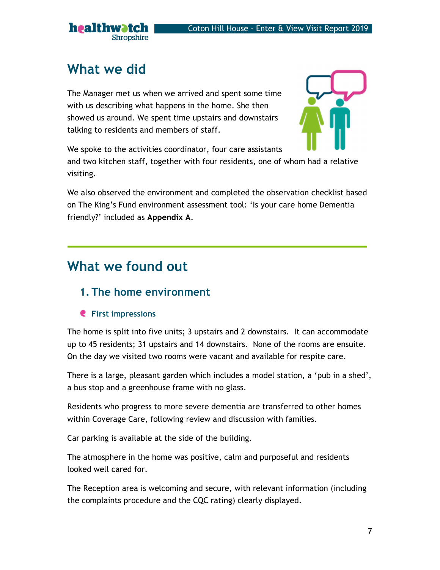

# What we did

The Manager met us when we arrived and spent some time with us describing what happens in the home. She then showed us around. We spent time upstairs and downstairs talking to residents and members of staff.



We spoke to the activities coordinator, four care assistants and two kitchen staff, together with four residents, one of whom had a relative visiting.

We also observed the environment and completed the observation checklist based on The King's Fund environment assessment tool: 'Is your care home Dementia friendly?' included as Appendix A.

# What we found out

### 1. The home environment

### **C** First impressions

The home is split into five units; 3 upstairs and 2 downstairs. It can accommodate up to 45 residents; 31 upstairs and 14 downstairs. None of the rooms are ensuite. On the day we visited two rooms were vacant and available for respite care.

There is a large, pleasant garden which includes a model station, a 'pub in a shed', a bus stop and a greenhouse frame with no glass.

Residents who progress to more severe dementia are transferred to other homes within Coverage Care, following review and discussion with families.

Car parking is available at the side of the building.

The atmosphere in the home was positive, calm and purposeful and residents looked well cared for.

The Reception area is welcoming and secure, with relevant information (including the complaints procedure and the CQC rating) clearly displayed.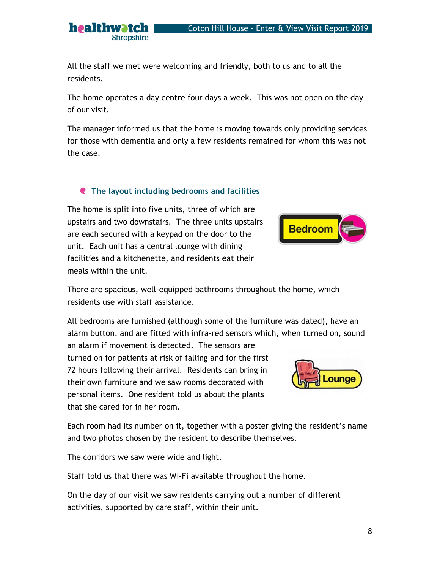### Coton Hill House - Enter & View Visit Report 2019

All the staff we met were welcoming and friendly, both to us and to all the residents.

The home operates a day centre four days a week. This was not open on the day of our visit.

The manager informed us that the home is moving towards only providing services for those with dementia and only a few residents remained for whom this was not the case.

### **C** The layout including bedrooms and facilities

The home is split into five units, three of which are

healthwatch

**Shropshire** 

upstairs and two downstairs. The three units upstairs **Bedroom** are each secured with a keypad on the door to the unit. Each unit has a central lounge with dining facilities and a kitchenette, and residents eat their meals within the unit.

There are spacious, well-equipped bathrooms throughout the home, which residents use with staff assistance.

All bedrooms are furnished (although some of the furniture was dated), have an alarm button, and are fitted with infra-red sensors which, when turned on, sound an alarm if movement is detected. The sensors are

turned on for patients at risk of falling and for the first 72 hours following their arrival. Residents can bring in their own furniture and we saw rooms decorated with personal items. One resident told us about the plants that she cared for in her room.

Each room had its number on it, together with a poster giving the resident's name and two photos chosen by the resident to describe themselves.

The corridors we saw were wide and light.

Staff told us that there was Wi-Fi available throughout the home.

On the day of our visit we saw residents carrying out a number of different activities, supported by care staff, within their unit.



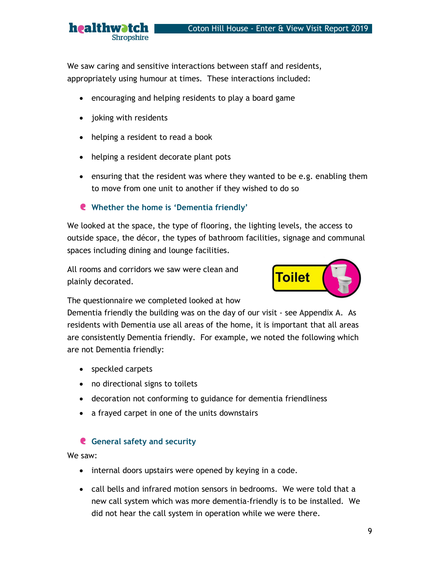We saw caring and sensitive interactions between staff and residents, appropriately using humour at times. These interactions included:

- encouraging and helping residents to play a board game
- joking with residents

Shropshire

healthwatch

- helping a resident to read a book
- helping a resident decorate plant pots
- ensuring that the resident was where they wanted to be e.g. enabling them to move from one unit to another if they wished to do so

#### Whether the home is 'Dementia friendly'

We looked at the space, the type of flooring, the lighting levels, the access to outside space, the décor, the types of bathroom facilities, signage and communal spaces including dining and lounge facilities.

All rooms and corridors we saw were clean and  $\overline{\mathsf{Toilet}}$ plainly decorated.



The questionnaire we completed looked at how

Dementia friendly the building was on the day of our visit - see Appendix A. As residents with Dementia use all areas of the home, it is important that all areas are consistently Dementia friendly. For example, we noted the following which are not Dementia friendly:

- speckled carpets
- no directional signs to toilets
- decoration not conforming to guidance for dementia friendliness
- a frayed carpet in one of the units downstairs

#### General safety and security

We saw:

- internal doors upstairs were opened by keying in a code.
- call bells and infrared motion sensors in bedrooms. We were told that a new call system which was more dementia-friendly is to be installed. We did not hear the call system in operation while we were there.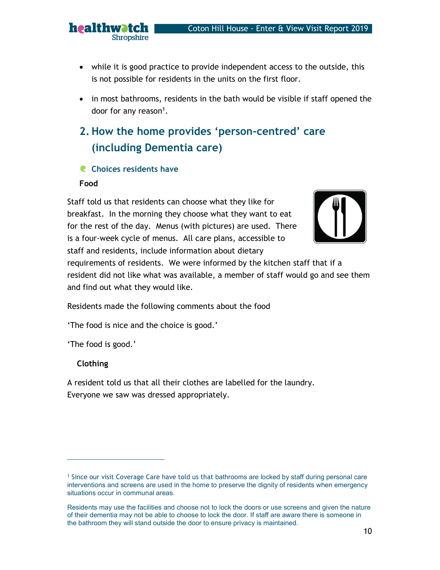- while it is good practice to provide independent access to the outside, this is not possible for residents in the units on the first floor.
- in most bathrooms, residents in the bath would be visible if staff opened the door for any reason<sup>1</sup>.

# 2. How the home provides 'person-centred' care (including Dementia care)

#### **C** Choices residents have

healthwatch

Shropshire

#### Food

Staff told us that residents can choose what they like for breakfast. In the morning they choose what they want to eat for the rest of the day. Menus (with pictures) are used. There is a four-week cycle of menus. All care plans, accessible to staff and residents, include information about dietary



requirements of residents. We were informed by the kitchen staff that if a resident did not like what was available, a member of staff would go and see them and find out what they would like.

Residents made the following comments about the food

'The food is nice and the choice is good.'

'The food is good.'

#### Clothing

A resident told us that all their clothes are labelled for the laundry. Everyone we saw was dressed appropriately.

<sup>1</sup> Since our visit Coverage Care have told us that bathrooms are locked by staff during personal care interventions and screens are used in the home to preserve the dignity of residents when emergency situations occur in communal areas.

Residents may use the facilities and choose not to lock the doors or use screens and given the nature of their dementia may not be able to choose to lock the door. If staff are aware there is someone in the bathroom they will stand outside the door to ensure privacy is maintained.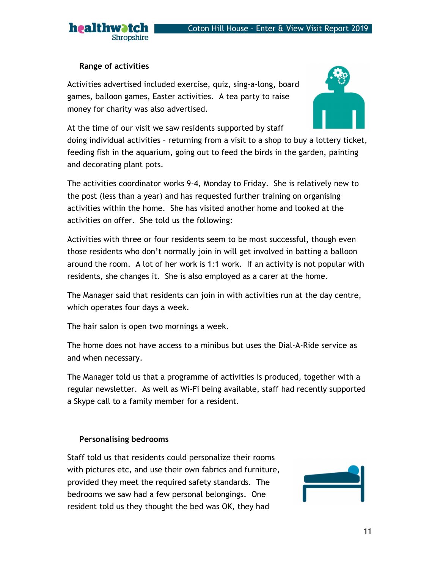

#### Range of activities

Shropshire

healthwatch

Activities advertised included exercise, quiz, sing-a-long, board games, balloon games, Easter activities. A tea party to raise money for charity was also advertised.



At the time of our visit we saw residents supported by staff doing individual activities – returning from a visit to a shop to buy a lottery ticket, feeding fish in the aquarium, going out to feed the birds in the garden, painting and decorating plant pots.

The activities coordinator works 9-4, Monday to Friday. She is relatively new to the post (less than a year) and has requested further training on organising activities within the home. She has visited another home and looked at the activities on offer. She told us the following:

Activities with three or four residents seem to be most successful, though even those residents who don't normally join in will get involved in batting a balloon around the room. A lot of her work is 1:1 work. If an activity is not popular with residents, she changes it. She is also employed as a carer at the home.

The Manager said that residents can join in with activities run at the day centre, which operates four days a week.

The hair salon is open two mornings a week.

The home does not have access to a minibus but uses the Dial-A-Ride service as and when necessary.

The Manager told us that a programme of activities is produced, together with a regular newsletter. As well as Wi-Fi being available, staff had recently supported a Skype call to a family member for a resident.

#### Personalising bedrooms

Staff told us that residents could personalize their rooms with pictures etc, and use their own fabrics and furniture, provided they meet the required safety standards. The bedrooms we saw had a few personal belongings. One resident told us they thought the bed was OK, they had

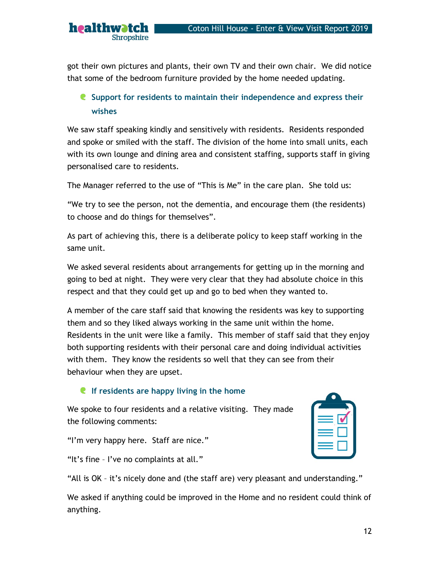got their own pictures and plants, their own TV and their own chair. We did notice that some of the bedroom furniture provided by the home needed updating.

### **C** Support for residents to maintain their independence and express their wishes

We saw staff speaking kindly and sensitively with residents. Residents responded and spoke or smiled with the staff. The division of the home into small units, each with its own lounge and dining area and consistent staffing, supports staff in giving personalised care to residents.

The Manager referred to the use of "This is Me" in the care plan. She told us:

"We try to see the person, not the dementia, and encourage them (the residents) to choose and do things for themselves".

As part of achieving this, there is a deliberate policy to keep staff working in the same unit.

We asked several residents about arrangements for getting up in the morning and going to bed at night. They were very clear that they had absolute choice in this respect and that they could get up and go to bed when they wanted to.

A member of the care staff said that knowing the residents was key to supporting them and so they liked always working in the same unit within the home. Residents in the unit were like a family. This member of staff said that they enjoy both supporting residents with their personal care and doing individual activities with them. They know the residents so well that they can see from their behaviour when they are upset.

#### If residents are happy living in the home

We spoke to four residents and a relative visiting. They made the following comments:

"I'm very happy here. Staff are nice."

healthwatch

**Shropshire** 

"It's fine – I've no complaints at all."

"All is OK – it's nicely done and (the staff are) very pleasant and understanding."

We asked if anything could be improved in the Home and no resident could think of anything.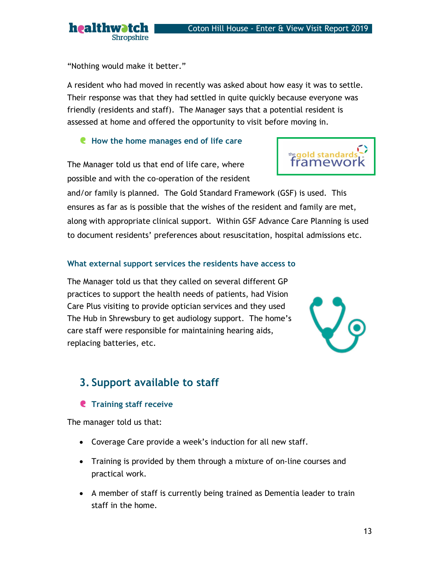"Nothing would make it better."

**Shropshire** 

healthwatch

A resident who had moved in recently was asked about how easy it was to settle. Their response was that they had settled in quite quickly because everyone was friendly (residents and staff). The Manager says that a potential resident is assessed at home and offered the opportunity to visit before moving in.

### **C** How the home manages end of life care

The Manager told us that end of life care, where possible and with the co-operation of the resident

and/or family is planned. The Gold Standard Framework (GSF) is used. This ensures as far as is possible that the wishes of the resident and family are met, along with appropriate clinical support. Within GSF Advance Care Planning is used to document residents' preferences about resuscitation, hospital admissions etc.

### What external support services the residents have access to

The Manager told us that they called on several different GP practices to support the health needs of patients, had Vision Care Plus visiting to provide optician services and they used The Hub in Shrewsbury to get audiology support. The home's care staff were responsible for maintaining hearing aids, replacing batteries, etc.

# 3. Support available to staff

### **C** Training staff receive

The manager told us that:

- Coverage Care provide a week's induction for all new staff.
- Training is provided by them through a mixture of on-line courses and practical work.
- A member of staff is currently being trained as Dementia leader to train staff in the home.



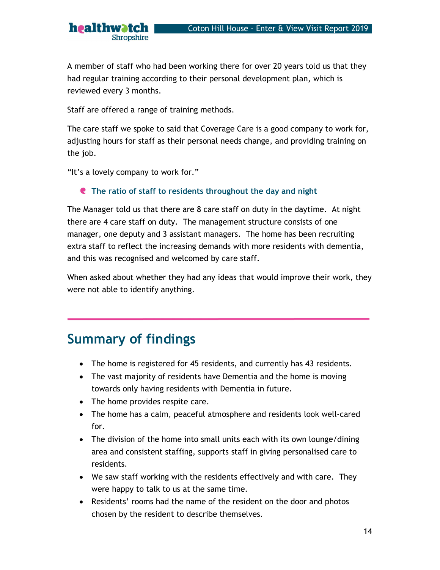A member of staff who had been working there for over 20 years told us that they had regular training according to their personal development plan, which is reviewed every 3 months.

Staff are offered a range of training methods.

The care staff we spoke to said that Coverage Care is a good company to work for, adjusting hours for staff as their personal needs change, and providing training on the job.

"It's a lovely company to work for."

healthwatch

**Shropshire** 

#### **C** The ratio of staff to residents throughout the day and night

The Manager told us that there are 8 care staff on duty in the daytime. At night there are 4 care staff on duty. The management structure consists of one manager, one deputy and 3 assistant managers. The home has been recruiting extra staff to reflect the increasing demands with more residents with dementia, and this was recognised and welcomed by care staff.

When asked about whether they had any ideas that would improve their work, they were not able to identify anything.

# Summary of findings

- The home is registered for 45 residents, and currently has 43 residents.
- The vast majority of residents have Dementia and the home is moving towards only having residents with Dementia in future.
- The home provides respite care.
- The home has a calm, peaceful atmosphere and residents look well-cared for.
- The division of the home into small units each with its own lounge/dining area and consistent staffing, supports staff in giving personalised care to residents.
- We saw staff working with the residents effectively and with care. They were happy to talk to us at the same time.
- Residents' rooms had the name of the resident on the door and photos chosen by the resident to describe themselves.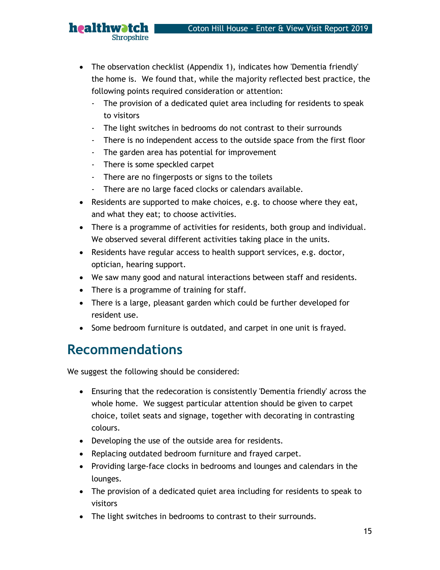- The observation checklist (Appendix 1), indicates how 'Dementia friendly' the home is. We found that, while the majority reflected best practice, the following points required consideration or attention:
	- The provision of a dedicated quiet area including for residents to speak to visitors
	- The light switches in bedrooms do not contrast to their surrounds
	- There is no independent access to the outside space from the first floor
	- The garden area has potential for improvement
	- There is some speckled carpet

healthwatch

Shropshire

- There are no fingerposts or signs to the toilets
- There are no large faced clocks or calendars available.
- Residents are supported to make choices, e.g. to choose where they eat, and what they eat; to choose activities.
- There is a programme of activities for residents, both group and individual. We observed several different activities taking place in the units.
- Residents have regular access to health support services, e.g. doctor, optician, hearing support.
- We saw many good and natural interactions between staff and residents.
- There is a programme of training for staff.
- There is a large, pleasant garden which could be further developed for resident use.
- Some bedroom furniture is outdated, and carpet in one unit is frayed.

# Recommendations

We suggest the following should be considered:

- Ensuring that the redecoration is consistently 'Dementia friendly' across the whole home. We suggest particular attention should be given to carpet choice, toilet seats and signage, together with decorating in contrasting colours.
- Developing the use of the outside area for residents.
- Replacing outdated bedroom furniture and frayed carpet.
- Providing large-face clocks in bedrooms and lounges and calendars in the lounges.
- The provision of a dedicated quiet area including for residents to speak to visitors
- The light switches in bedrooms to contrast to their surrounds.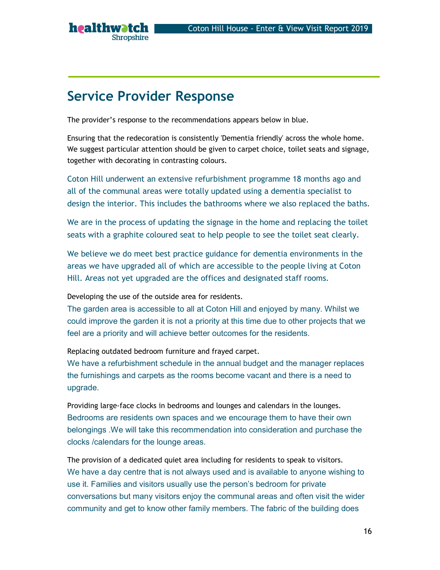# Service Provider Response

healthwatch

**Shropshire** 

The provider's response to the recommendations appears below in blue.

Ensuring that the redecoration is consistently 'Dementia friendly' across the whole home. We suggest particular attention should be given to carpet choice, toilet seats and signage, together with decorating in contrasting colours.

Coton Hill underwent an extensive refurbishment programme 18 months ago and all of the communal areas were totally updated using a dementia specialist to design the interior. This includes the bathrooms where we also replaced the baths.

We are in the process of updating the signage in the home and replacing the toilet seats with a graphite coloured seat to help people to see the toilet seat clearly.

We believe we do meet best practice guidance for dementia environments in the areas we have upgraded all of which are accessible to the people living at Coton Hill. Areas not yet upgraded are the offices and designated staff rooms.

Developing the use of the outside area for residents.

The garden area is accessible to all at Coton Hill and enjoyed by many. Whilst we could improve the garden it is not a priority at this time due to other projects that we feel are a priority and will achieve better outcomes for the residents.

Replacing outdated bedroom furniture and frayed carpet.

We have a refurbishment schedule in the annual budget and the manager replaces the furnishings and carpets as the rooms become vacant and there is a need to upgrade.

Providing large-face clocks in bedrooms and lounges and calendars in the lounges. Bedrooms are residents own spaces and we encourage them to have their own belongings .We will take this recommendation into consideration and purchase the clocks /calendars for the lounge areas.

The provision of a dedicated quiet area including for residents to speak to visitors. We have a day centre that is not always used and is available to anyone wishing to use it. Families and visitors usually use the person's bedroom for private conversations but many visitors enjoy the communal areas and often visit the wider community and get to know other family members. The fabric of the building does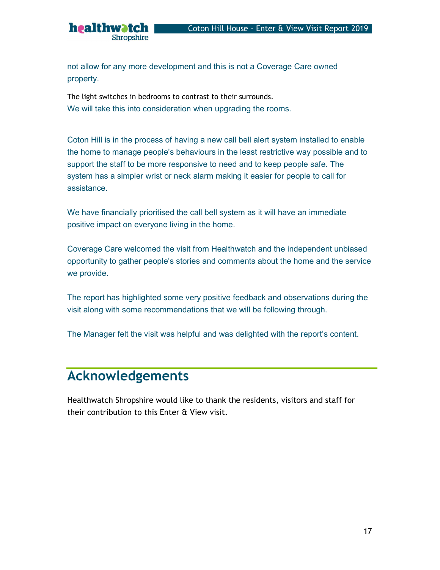not allow for any more development and this is not a Coverage Care owned property.

The light switches in bedrooms to contrast to their surrounds. We will take this into consideration when upgrading the rooms.

healthwatch

Shropshire

Coton Hill is in the process of having a new call bell alert system installed to enable the home to manage people's behaviours in the least restrictive way possible and to support the staff to be more responsive to need and to keep people safe. The system has a simpler wrist or neck alarm making it easier for people to call for assistance.

We have financially prioritised the call bell system as it will have an immediate positive impact on everyone living in the home.

Coverage Care welcomed the visit from Healthwatch and the independent unbiased opportunity to gather people's stories and comments about the home and the service we provide.

The report has highlighted some very positive feedback and observations during the visit along with some recommendations that we will be following through.

The Manager felt the visit was helpful and was delighted with the report's content.

# Acknowledgements

Healthwatch Shropshire would like to thank the residents, visitors and staff for their contribution to this Enter & View visit.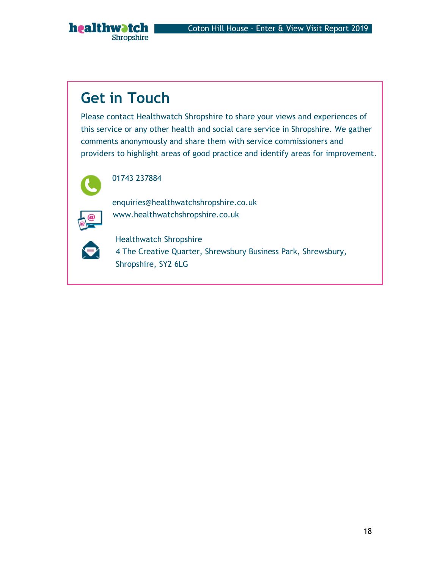# Get in Touch

Shropshire

healthwatch

Please contact Healthwatch Shropshire to share your views and experiences of this service or any other health and social care service in Shropshire. We gather comments anonymously and share them with service commissioners and providers to highlight areas of good practice and identify areas for improvement.



#### 01743 237884

enquiries@healthwatchshropshire.co.uk www.healthwatchshropshire.co.uk



Healthwatch Shropshire 4 The Creative Quarter, Shrewsbury Business Park, Shrewsbury, Shropshire, SY2 6LG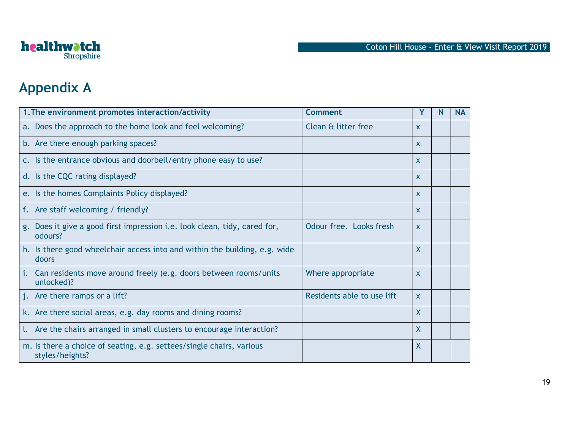

# Appendix A

| 1. The environment promotes interaction/activity                                        | <b>Comment</b>             | Y              | N | <b>NA</b> |
|-----------------------------------------------------------------------------------------|----------------------------|----------------|---|-----------|
| a. Does the approach to the home look and feel welcoming?                               | Clean & litter free        | X              |   |           |
| b. Are there enough parking spaces?                                                     |                            | $\mathsf{x}$   |   |           |
| c. Is the entrance obvious and doorbell/entry phone easy to use?                        |                            | $\mathsf{x}$   |   |           |
| d. Is the CQC rating displayed?                                                         |                            | $\mathsf{x}$   |   |           |
| e. Is the homes Complaints Policy displayed?                                            |                            | X              |   |           |
| f. Are staff welcoming / friendly?                                                      |                            | $\mathsf{x}$   |   |           |
| g. Does it give a good first impression i.e. look clean, tidy, cared for,<br>odours?    | Odour free. Looks fresh    | $\mathsf{x}$   |   |           |
| h. Is there good wheelchair access into and within the building, e.g. wide<br>doors     |                            | X              |   |           |
| i. Can residents move around freely (e.g. doors between rooms/units<br>unlocked)?       | Where appropriate          | X              |   |           |
| j. Are there ramps or a lift?                                                           | Residents able to use lift | $\mathsf{x}$   |   |           |
| k. Are there social areas, e.g. day rooms and dining rooms?                             |                            | $\overline{X}$ |   |           |
| 1. Are the chairs arranged in small clusters to encourage interaction?                  |                            | $\mathsf{X}$   |   |           |
| m. Is there a choice of seating, e.g. settees/single chairs, various<br>styles/heights? |                            | X              |   |           |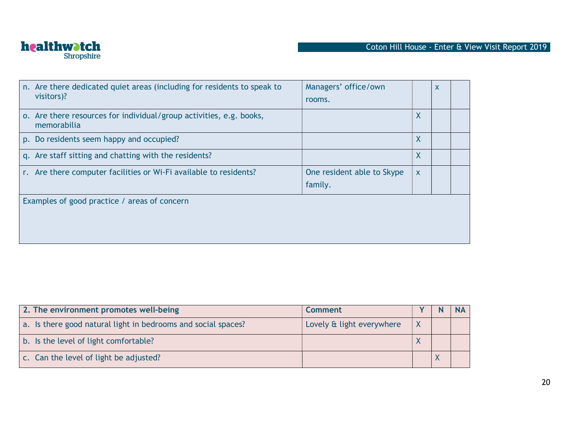

| n. Are there dedicated quiet areas (including for residents to speak to<br>visitors)? | Managers' office/own<br>rooms.        |   | X |  |
|---------------------------------------------------------------------------------------|---------------------------------------|---|---|--|
| o. Are there resources for individual/group activities, e.g. books,<br>memorabilia    |                                       | X |   |  |
| p. Do residents seem happy and occupied?                                              |                                       | X |   |  |
| q. Are staff sitting and chatting with the residents?                                 |                                       | X |   |  |
| r. Are there computer facilities or Wi-Fi available to residents?                     | One resident able to Skype<br>family. | X |   |  |
| Examples of good practice / areas of concern                                          |                                       |   |   |  |
|                                                                                       |                                       |   |   |  |

| 2. The environment promotes well-being                        | <b>Comment</b>            |   |  |
|---------------------------------------------------------------|---------------------------|---|--|
| a. Is there good natural light in bedrooms and social spaces? | Lovely & light everywhere | X |  |
| b. Is the level of light comfortable?                         |                           |   |  |
| c. Can the level of light be adjusted?                        |                           |   |  |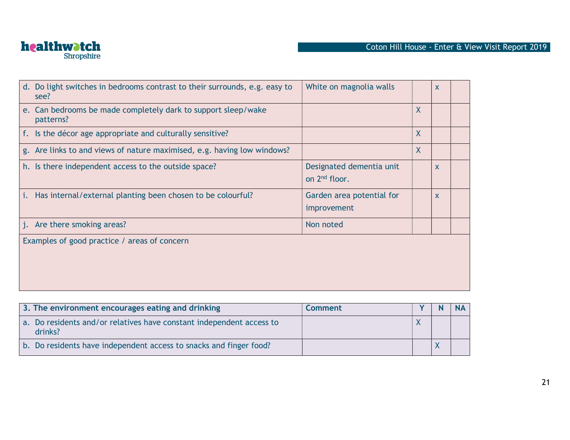

|    | d. Do light switches in bedrooms contrast to their surrounds, e.g. easy to<br>see? | White on magnolia walls                               |   | $\mathsf{x}$ |  |
|----|------------------------------------------------------------------------------------|-------------------------------------------------------|---|--------------|--|
|    | e. Can bedrooms be made completely dark to support sleep/wake<br>patterns?         |                                                       | X |              |  |
|    | f. Is the décor age appropriate and culturally sensitive?                          |                                                       | X |              |  |
|    | g. Are links to and views of nature maximised, e.g. having low windows?            |                                                       | X |              |  |
|    | h. Is there independent access to the outside space?                               | Designated dementia unit<br>on 2 <sup>nd</sup> floor. |   | $\mathsf{x}$ |  |
| i. | Has internal/external planting been chosen to be colourful?                        | Garden area potential for<br>improvement              |   | $\mathsf{X}$ |  |
|    | j. Are there smoking areas?                                                        | Non noted                                             |   |              |  |
|    | Examples of good practice / areas of concern                                       |                                                       |   |              |  |

| 3. The environment encourages eating and drinking                               | <b>Comment</b> |  |  |
|---------------------------------------------------------------------------------|----------------|--|--|
| a. Do residents and/or relatives have constant independent access to<br>drinks? |                |  |  |
| b. Do residents have independent access to snacks and finger food?              |                |  |  |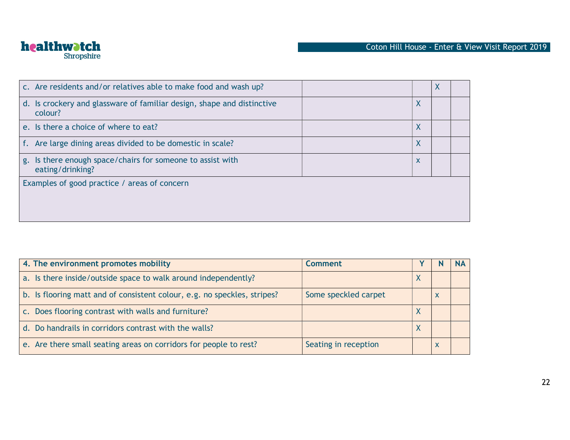

| c. Are residents and/or relatives able to make food and wash up?                  |   | X |  |
|-----------------------------------------------------------------------------------|---|---|--|
| d. Is crockery and glassware of familiar design, shape and distinctive<br>colour? | X |   |  |
| e. Is there a choice of where to eat?                                             | X |   |  |
| f. Are large dining areas divided to be domestic in scale?                        | X |   |  |
| g. Is there enough space/chairs for someone to assist with<br>eating/drinking?    | X |   |  |
| Examples of good practice / areas of concern                                      |   |   |  |
|                                                                                   |   |   |  |
|                                                                                   |   |   |  |

| 4. The environment promotes mobility                                     | Comment              |           | <b>NA</b> |
|--------------------------------------------------------------------------|----------------------|-----------|-----------|
| a. Is there inside/outside space to walk around independently?           |                      |           |           |
| b. Is flooring matt and of consistent colour, e.g. no speckles, stripes? | Some speckled carpet |           |           |
| c. Does flooring contrast with walls and furniture?                      |                      |           |           |
| d. Do handrails in corridors contrast with the walls?                    |                      | $\Lambda$ |           |
| e. Are there small seating areas on corridors for people to rest?        | Seating in reception |           |           |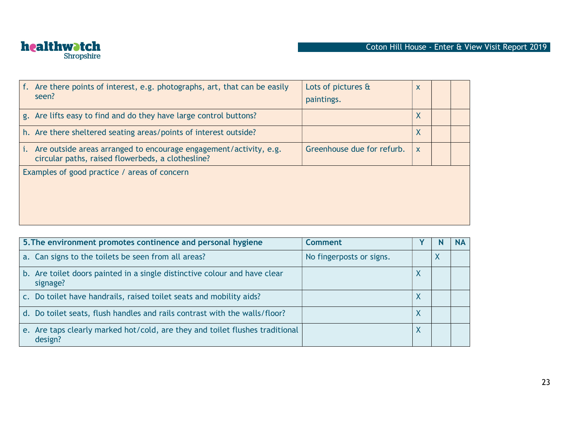

| Are there points of interest, e.g. photographs, art, that can be easily<br>seen?                                       | Lots of pictures &<br>paintings. | X                         |  |
|------------------------------------------------------------------------------------------------------------------------|----------------------------------|---------------------------|--|
| g. Are lifts easy to find and do they have large control buttons?                                                      |                                  | X                         |  |
| h. Are there sheltered seating areas/points of interest outside?                                                       |                                  | X                         |  |
| Are outside areas arranged to encourage engagement/activity, e.g.<br>circular paths, raised flowerbeds, a clothesline? | Greenhouse due for refurb.       | $\boldsymbol{\mathsf{X}}$ |  |
| Examples of good practice / areas of concern                                                                           |                                  |                           |  |

| 5. The environment promotes continence and personal hygiene                             | <b>Comment</b>           |   |   | <b>NA</b> |
|-----------------------------------------------------------------------------------------|--------------------------|---|---|-----------|
| a. Can signs to the toilets be seen from all areas?                                     | No fingerposts or signs. |   | v |           |
| b. Are toilet doors painted in a single distinctive colour and have clear<br>signage?   |                          | ⋏ |   |           |
| c. Do toilet have handrails, raised toilet seats and mobility aids?                     |                          | V |   |           |
| d. Do toilet seats, flush handles and rails contrast with the walls/floor?              |                          | X |   |           |
| e. Are taps clearly marked hot/cold, are they and toilet flushes traditional<br>design? |                          | Χ |   |           |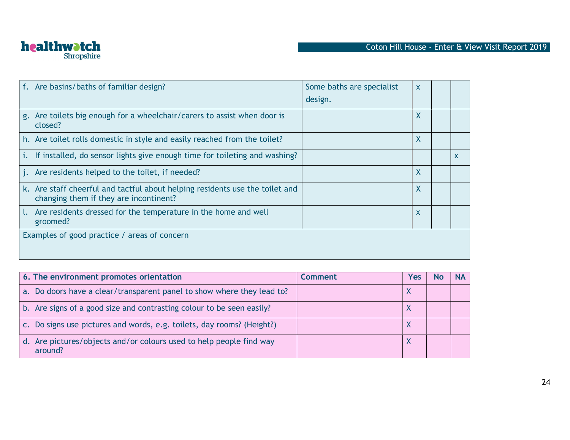

|              | f. Are basins/baths of familiar design?                                                                                | Some baths are specialist<br>design. | X |              |
|--------------|------------------------------------------------------------------------------------------------------------------------|--------------------------------------|---|--------------|
|              | g. Are toilets big enough for a wheelchair/carers to assist when door is<br>closed?                                    |                                      | X |              |
|              | h. Are toilet rolls domestic in style and easily reached from the toilet?                                              |                                      | X |              |
| $\mathbf{L}$ | If installed, do sensor lights give enough time for toileting and washing?                                             |                                      |   | $\mathsf{x}$ |
|              | j. Are residents helped to the toilet, if needed?                                                                      |                                      | X |              |
|              | k. Are staff cheerful and tactful about helping residents use the toilet and<br>changing them if they are incontinent? |                                      | X |              |
|              | 1. Are residents dressed for the temperature in the home and well<br>groomed?                                          |                                      | X |              |
|              | Examples of good practice / areas of concern                                                                           |                                      |   |              |

| 6. The environment promotes orientation                                              | Comment | Yes        |  |
|--------------------------------------------------------------------------------------|---------|------------|--|
| a. Do doors have a clear/transparent panel to show where they lead to?               |         |            |  |
| b. Are signs of a good size and contrasting colour to be seen easily?                |         |            |  |
| Do signs use pictures and words, e.g. toilets, day rooms? (Height?)<br>$C_{\bullet}$ |         | $\sqrt{ }$ |  |
| d. Are pictures/objects and/or colours used to help people find way<br>around?       |         |            |  |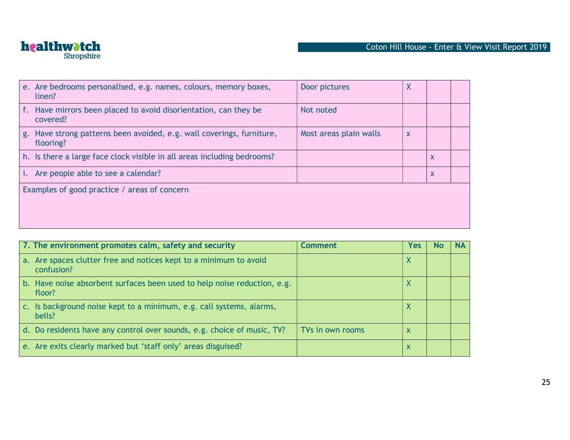

| e. Are bedrooms personalised, e.g. names, colours, memory boxes,<br>linen?         | Door pictures          | X            |                           |  |
|------------------------------------------------------------------------------------|------------------------|--------------|---------------------------|--|
| f. Have mirrors been placed to avoid disorientation, can they be<br>covered?       | Not noted              |              |                           |  |
| g. Have strong patterns been avoided, e.g. wall coverings, furniture,<br>flooring? | Most areas plain walls | $\mathsf{x}$ |                           |  |
| h. Is there a large face clock visible in all areas including bedrooms?            |                        |              | $\boldsymbol{\mathsf{X}}$ |  |
| <i>i.</i> Are people able to see a calendar?                                       |                        |              | $\boldsymbol{\mathsf{X}}$ |  |
| Examples of good practice / areas of concern                                       |                        |              |                           |  |

| 7. The environment promotes calm, safety and security                              | <b>Comment</b>   | Yes |  |
|------------------------------------------------------------------------------------|------------------|-----|--|
| a. Are spaces clutter free and notices kept to a minimum to avoid<br>confusion?    |                  | X   |  |
| b. Have noise absorbent surfaces been used to help noise reduction, e.g.<br>floor? |                  | ᄉ   |  |
| c. Is background noise kept to a minimum, e.g. call systems, alarms,<br>bells?     |                  |     |  |
| d. Do residents have any control over sounds, e.g. choice of music, TV?            | TVs in own rooms | х   |  |
| e. Are exits clearly marked but 'staff only' areas disguised?                      |                  | Х   |  |